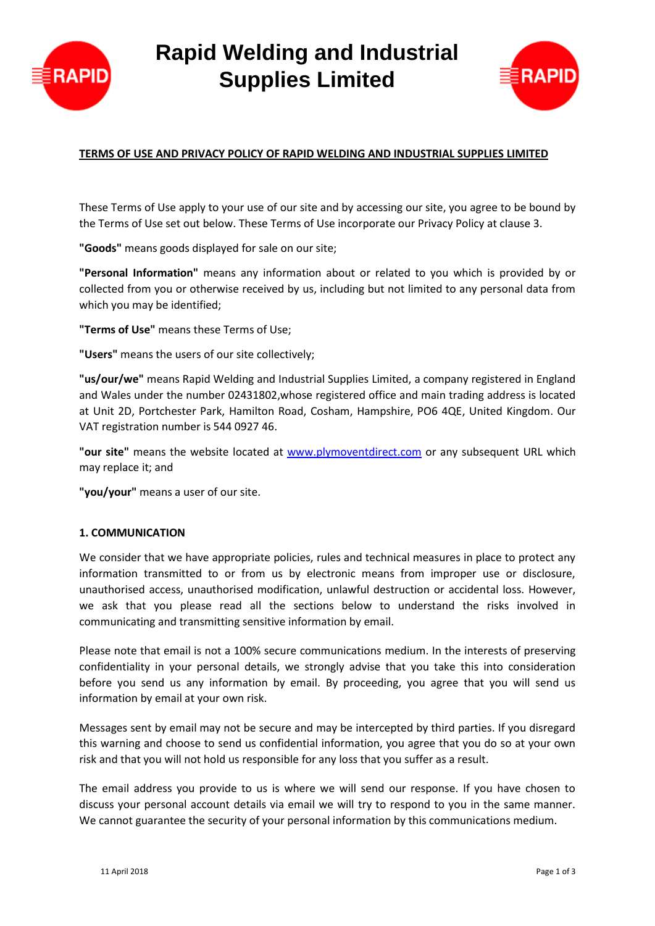



## **TERMS OF USE AND PRIVACY POLICY OF RAPID WELDING AND INDUSTRIAL SUPPLIES LIMITED**

These Terms of Use apply to your use of our site and by accessing our site, you agree to be bound by the Terms of Use set out below. These Terms of Use incorporate our Privacy Policy at clause 3.

**"Goods"** means goods displayed for sale on our site;

**"Personal Information"** means any information about or related to you which is provided by or collected from you or otherwise received by us, including but not limited to any personal data from which you may be identified;

**"Terms of Use"** means these Terms of Use;

**"Users"** means the users of our site collectively;

**"us/our/we"** means Rapid Welding and Industrial Supplies Limited, a company registered in England and Wales under the number 02431802,whose registered office and main trading address is located at Unit 2D, Portchester Park, Hamilton Road, Cosham, Hampshire, PO6 4QE, United Kingdom. Our VAT registration number is 544 0927 46.

"our site" means the website located at **[www.plymoventdirect.com](http://www.plymoventdirect.com/)** or any subsequent URL which may replace it; and

**"you/your"** means a user of our site.

## **1. COMMUNICATION**

We consider that we have appropriate policies, rules and technical measures in place to protect any information transmitted to or from us by electronic means from improper use or disclosure, unauthorised access, unauthorised modification, unlawful destruction or accidental loss. However, we ask that you please read all the sections below to understand the risks involved in communicating and transmitting sensitive information by email.

Please note that email is not a 100% secure communications medium. In the interests of preserving confidentiality in your personal details, we strongly advise that you take this into consideration before you send us any information by email. By proceeding, you agree that you will send us information by email at your own risk.

Messages sent by email may not be secure and may be intercepted by third parties. If you disregard this warning and choose to send us confidential information, you agree that you do so at your own risk and that you will not hold us responsible for any loss that you suffer as a result.

The email address you provide to us is where we will send our response. If you have chosen to discuss your personal account details via email we will try to respond to you in the same manner. We cannot guarantee the security of your personal information by this communications medium.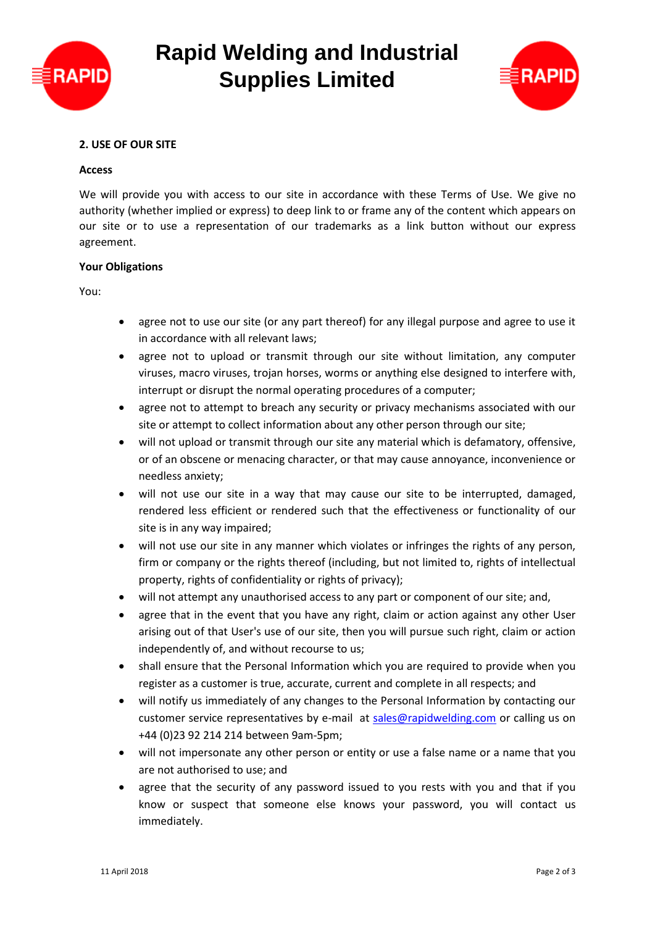



## **2. USE OF OUR SITE**

#### **Access**

We will provide you with access to our site in accordance with these Terms of Use. We give no authority (whether implied or express) to deep link to or frame any of the content which appears on our site or to use a representation of our trademarks as a link button without our express agreement.

## **Your Obligations**

You:

- agree not to use our site (or any part thereof) for any illegal purpose and agree to use it in accordance with all relevant laws;
- agree not to upload or transmit through our site without limitation, any computer viruses, macro viruses, trojan horses, worms or anything else designed to interfere with, interrupt or disrupt the normal operating procedures of a computer;
- agree not to attempt to breach any security or privacy mechanisms associated with our site or attempt to collect information about any other person through our site;
- will not upload or transmit through our site any material which is defamatory, offensive, or of an obscene or menacing character, or that may cause annoyance, inconvenience or needless anxiety;
- will not use our site in a way that may cause our site to be interrupted, damaged, rendered less efficient or rendered such that the effectiveness or functionality of our site is in any way impaired;
- will not use our site in any manner which violates or infringes the rights of any person, firm or company or the rights thereof (including, but not limited to, rights of intellectual property, rights of confidentiality or rights of privacy);
- will not attempt any unauthorised access to any part or component of our site; and,
- agree that in the event that you have any right, claim or action against any other User arising out of that User's use of our site, then you will pursue such right, claim or action independently of, and without recourse to us;
- shall ensure that the Personal Information which you are required to provide when you register as a customer is true, accurate, current and complete in all respects; and
- will notify us immediately of any changes to the Personal Information by contacting our customer service representatives by e-mail at [sales@rapidwelding.com](mailto:sales@rapidwelding.com) or calling us on +44 (0)23 92 214 214 between 9am-5pm;
- will not impersonate any other person or entity or use a false name or a name that you are not authorised to use; and
- agree that the security of any password issued to you rests with you and that if you know or suspect that someone else knows your password, you will contact us immediately.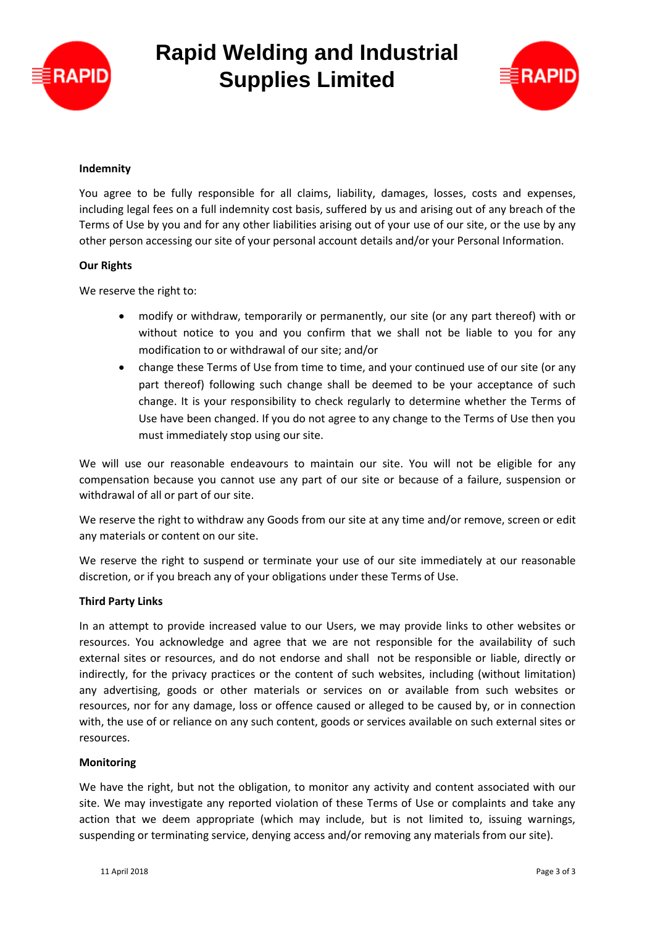



## **Indemnity**

You agree to be fully responsible for all claims, liability, damages, losses, costs and expenses, including legal fees on a full indemnity cost basis, suffered by us and arising out of any breach of the Terms of Use by you and for any other liabilities arising out of your use of our site, or the use by any other person accessing our site of your personal account details and/or your Personal Information.

## **Our Rights**

We reserve the right to:

- modify or withdraw, temporarily or permanently, our site (or any part thereof) with or without notice to you and you confirm that we shall not be liable to you for any modification to or withdrawal of our site; and/or
- change these Terms of Use from time to time, and your continued use of our site (or any part thereof) following such change shall be deemed to be your acceptance of such change. It is your responsibility to check regularly to determine whether the Terms of Use have been changed. If you do not agree to any change to the Terms of Use then you must immediately stop using our site.

We will use our reasonable endeavours to maintain our site. You will not be eligible for any compensation because you cannot use any part of our site or because of a failure, suspension or withdrawal of all or part of our site.

We reserve the right to withdraw any Goods from our site at any time and/or remove, screen or edit any materials or content on our site.

We reserve the right to suspend or terminate your use of our site immediately at our reasonable discretion, or if you breach any of your obligations under these Terms of Use.

## **Third Party Links**

In an attempt to provide increased value to our Users, we may provide links to other websites or resources. You acknowledge and agree that we are not responsible for the availability of such external sites or resources, and do not endorse and shall not be responsible or liable, directly or indirectly, for the privacy practices or the content of such websites, including (without limitation) any advertising, goods or other materials or services on or available from such websites or resources, nor for any damage, loss or offence caused or alleged to be caused by, or in connection with, the use of or reliance on any such content, goods or services available on such external sites or resources.

## **Monitoring**

We have the right, but not the obligation, to monitor any activity and content associated with our site. We may investigate any reported violation of these Terms of Use or complaints and take any action that we deem appropriate (which may include, but is not limited to, issuing warnings, suspending or terminating service, denying access and/or removing any materials from our site).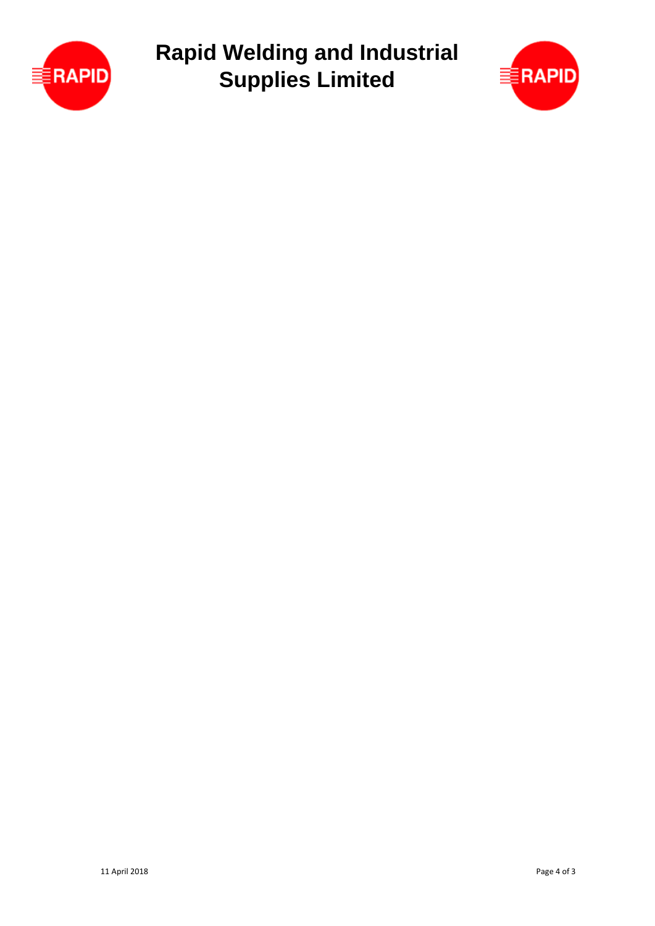

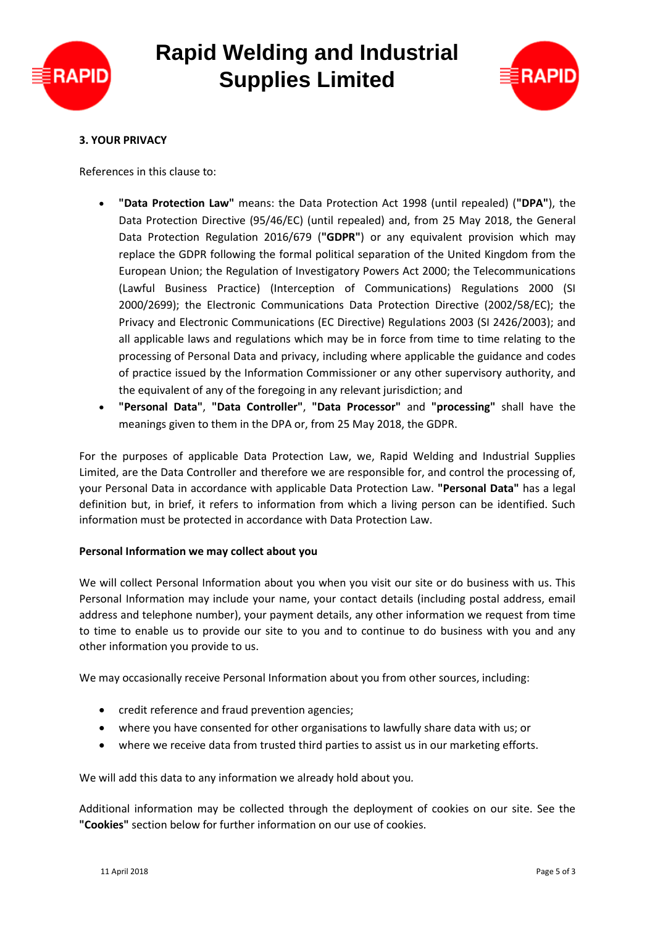



## **3. YOUR PRIVACY**

References in this clause to:

- **"Data Protection Law"** means: the Data Protection Act 1998 (until repealed) (**"DPA"**), the Data Protection Directive (95/46/EC) (until repealed) and, from 25 May 2018, the General Data Protection Regulation 2016/679 (**"GDPR"**) or any equivalent provision which may replace the GDPR following the formal political separation of the United Kingdom from the European Union; the Regulation of Investigatory Powers Act 2000; the Telecommunications (Lawful Business Practice) (Interception of Communications) Regulations 2000 (SI 2000/2699); the Electronic Communications Data Protection Directive (2002/58/EC); the Privacy and Electronic Communications (EC Directive) Regulations 2003 (SI 2426/2003); and all applicable laws and regulations which may be in force from time to time relating to the processing of Personal Data and privacy, including where applicable the guidance and codes of practice issued by the Information Commissioner or any other supervisory authority, and the equivalent of any of the foregoing in any relevant jurisdiction; and
- **"Personal Data"**, **"Data Controller"**, **"Data Processor"** and **"processing"** shall have the meanings given to them in the DPA or, from 25 May 2018, the GDPR.

For the purposes of applicable Data Protection Law, we, Rapid Welding and Industrial Supplies Limited, are the Data Controller and therefore we are responsible for, and control the processing of, your Personal Data in accordance with applicable Data Protection Law. **"Personal Data"** has a legal definition but, in brief, it refers to information from which a living person can be identified. Such information must be protected in accordance with Data Protection Law.

## **Personal Information we may collect about you**

We will collect Personal Information about you when you visit our site or do business with us. This Personal Information may include your name, your contact details (including postal address, email address and telephone number), your payment details, any other information we request from time to time to enable us to provide our site to you and to continue to do business with you and any other information you provide to us.

We may occasionally receive Personal Information about you from other sources, including:

- credit reference and fraud prevention agencies;
- where you have consented for other organisations to lawfully share data with us; or
- where we receive data from trusted third parties to assist us in our marketing efforts.

We will add this data to any information we already hold about you*.*

Additional information may be collected through the deployment of cookies on our site. See the **"Cookies"** section below for further information on our use of cookies.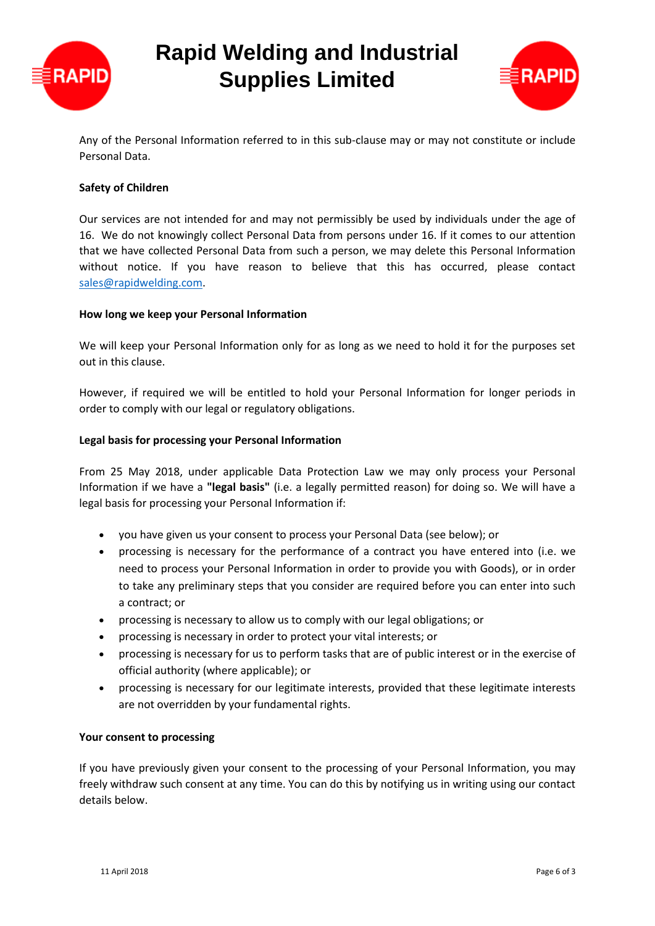



Any of the Personal Information referred to in this sub-clause may or may not constitute or include Personal Data.

## **Safety of Children**

Our services are not intended for and may not permissibly be used by individuals under the age of 16. We do not knowingly collect Personal Data from persons under 16. If it comes to our attention that we have collected Personal Data from such a person, we may delete this Personal Information without notice. If you have reason to believe that this has occurred, please contact [sales@rapidwelding.com.](mailto:sales@rapidwelding.com)

## **How long we keep your Personal Information**

We will keep your Personal Information only for as long as we need to hold it for the purposes set out in this clause.

However, if required we will be entitled to hold your Personal Information for longer periods in order to comply with our legal or regulatory obligations.

## **Legal basis for processing your Personal Information**

From 25 May 2018, under applicable Data Protection Law we may only process your Personal Information if we have a **"legal basis"** (i.e. a legally permitted reason) for doing so. We will have a legal basis for processing your Personal Information if:

- you have given us your consent to process your Personal Data (see below); or
- processing is necessary for the performance of a contract you have entered into (i.e. we need to process your Personal Information in order to provide you with Goods), or in order to take any preliminary steps that you consider are required before you can enter into such a contract; or
- processing is necessary to allow us to comply with our legal obligations; or
- processing is necessary in order to protect your vital interests; or
- processing is necessary for us to perform tasks that are of public interest or in the exercise of official authority (where applicable); or
- processing is necessary for our legitimate interests, provided that these legitimate interests are not overridden by your fundamental rights.

## **Your consent to processing**

If you have previously given your consent to the processing of your Personal Information, you may freely withdraw such consent at any time. You can do this by notifying us in writing using our contact details below.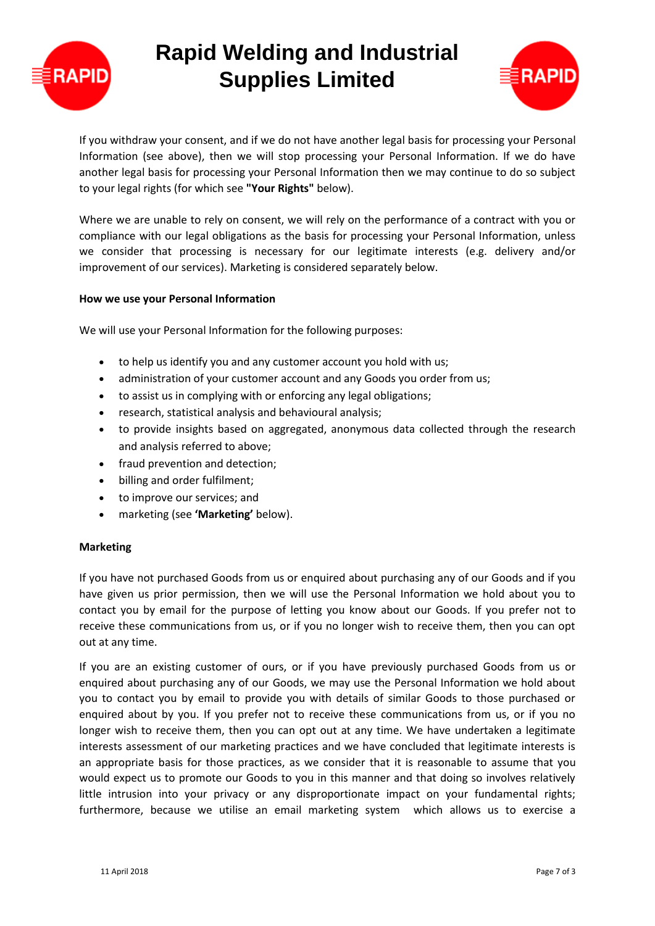



If you withdraw your consent, and if we do not have another legal basis for processing your Personal Information (see above), then we will stop processing your Personal Information. If we do have another legal basis for processing your Personal Information then we may continue to do so subject to your legal rights (for which see **"Your Rights"** below).

Where we are unable to rely on consent, we will rely on the performance of a contract with you or compliance with our legal obligations as the basis for processing your Personal Information, unless we consider that processing is necessary for our legitimate interests (e.g. delivery and/or improvement of our services). Marketing is considered separately below.

## **How we use your Personal Information**

We will use your Personal Information for the following purposes:

- to help us identify you and any customer account you hold with us;
- administration of your customer account and any Goods you order from us;
- to assist us in complying with or enforcing any legal obligations;
- research, statistical analysis and behavioural analysis;
- to provide insights based on aggregated, anonymous data collected through the research and analysis referred to above;
- fraud prevention and detection;
- billing and order fulfilment;
- to improve our services; and
- marketing (see **'Marketing'** below).

## **Marketing**

If you have not purchased Goods from us or enquired about purchasing any of our Goods and if you have given us prior permission, then we will use the Personal Information we hold about you to contact you by email for the purpose of letting you know about our Goods. If you prefer not to receive these communications from us, or if you no longer wish to receive them, then you can opt out at any time.

If you are an existing customer of ours, or if you have previously purchased Goods from us or enquired about purchasing any of our Goods, we may use the Personal Information we hold about you to contact you by email to provide you with details of similar Goods to those purchased or enquired about by you. If you prefer not to receive these communications from us, or if you no longer wish to receive them, then you can opt out at any time. We have undertaken a legitimate interests assessment of our marketing practices and we have concluded that legitimate interests is an appropriate basis for those practices, as we consider that it is reasonable to assume that you would expect us to promote our Goods to you in this manner and that doing so involves relatively little intrusion into your privacy or any disproportionate impact on your fundamental rights; furthermore, because we utilise an email marketing system which allows us to exercise a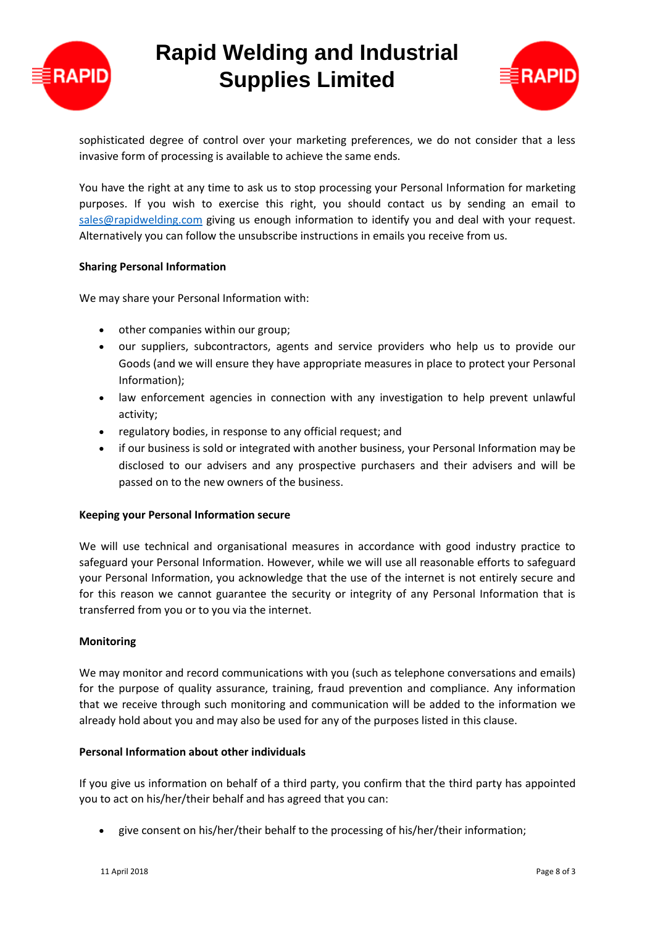



sophisticated degree of control over your marketing preferences, we do not consider that a less invasive form of processing is available to achieve the same ends.

You have the right at any time to ask us to stop processing your Personal Information for marketing purposes. If you wish to exercise this right, you should contact us by sending an email to [sales@rapidwelding.com](mailto:sales@rapidwelding.com) giving us enough information to identify you and deal with your request. Alternatively you can follow the unsubscribe instructions in emails you receive from us.

## **Sharing Personal Information**

We may share your Personal Information with:

- other companies within our group;
- our suppliers, subcontractors, agents and service providers who help us to provide our Goods (and we will ensure they have appropriate measures in place to protect your Personal Information);
- law enforcement agencies in connection with any investigation to help prevent unlawful activity;
- regulatory bodies, in response to any official request; and
- if our business is sold or integrated with another business, your Personal Information may be disclosed to our advisers and any prospective purchasers and their advisers and will be passed on to the new owners of the business.

## **Keeping your Personal Information secure**

We will use technical and organisational measures in accordance with good industry practice to safeguard your Personal Information. However, while we will use all reasonable efforts to safeguard your Personal Information, you acknowledge that the use of the internet is not entirely secure and for this reason we cannot guarantee the security or integrity of any Personal Information that is transferred from you or to you via the internet.

## **Monitoring**

We may monitor and record communications with you (such as telephone conversations and emails) for the purpose of quality assurance, training, fraud prevention and compliance. Any information that we receive through such monitoring and communication will be added to the information we already hold about you and may also be used for any of the purposes listed in this clause.

## **Personal Information about other individuals**

If you give us information on behalf of a third party, you confirm that the third party has appointed you to act on his/her/their behalf and has agreed that you can:

• give consent on his/her/their behalf to the processing of his/her/their information;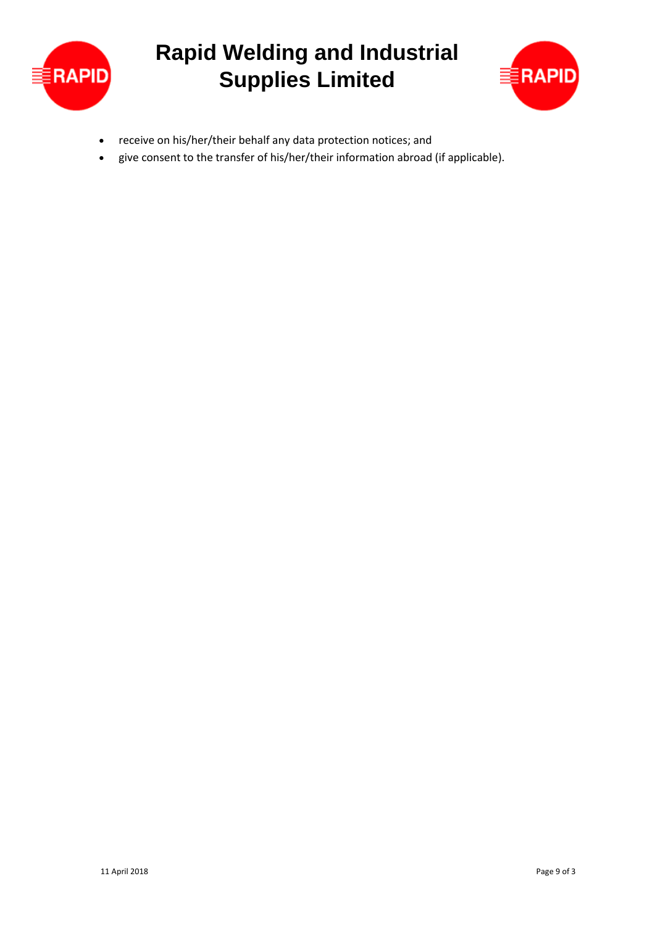



- receive on his/her/their behalf any data protection notices; and
- give consent to the transfer of his/her/their information abroad (if applicable).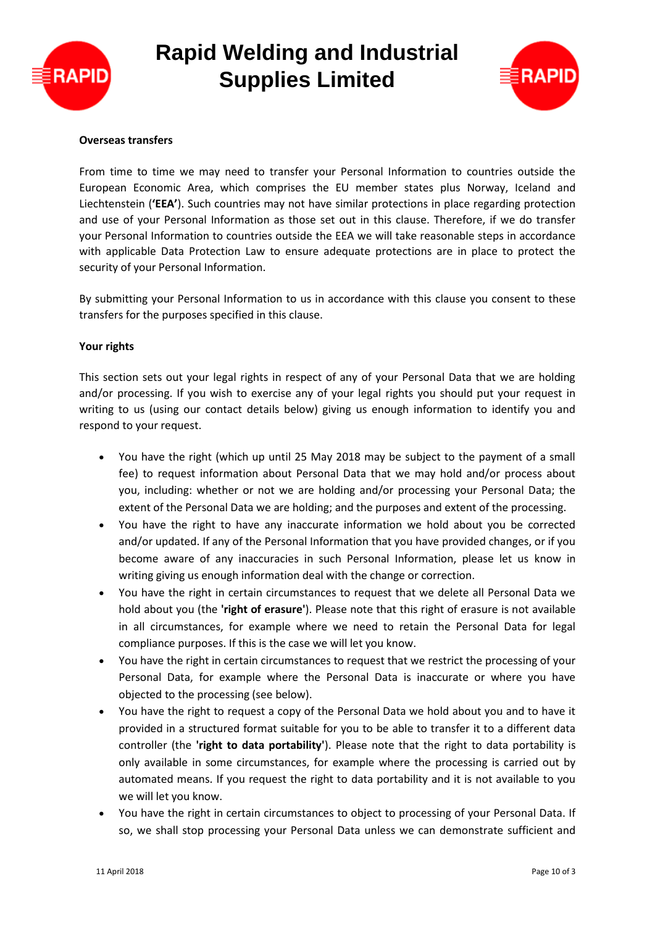



## **Overseas transfers**

From time to time we may need to transfer your Personal Information to countries outside the European Economic Area, which comprises the EU member states plus Norway, Iceland and Liechtenstein (**'EEA'**). Such countries may not have similar protections in place regarding protection and use of your Personal Information as those set out in this clause. Therefore, if we do transfer your Personal Information to countries outside the EEA we will take reasonable steps in accordance with applicable Data Protection Law to ensure adequate protections are in place to protect the security of your Personal Information.

By submitting your Personal Information to us in accordance with this clause you consent to these transfers for the purposes specified in this clause.

## **Your rights**

This section sets out your legal rights in respect of any of your Personal Data that we are holding and/or processing. If you wish to exercise any of your legal rights you should put your request in writing to us (using our contact details below) giving us enough information to identify you and respond to your request.

- You have the right (which up until 25 May 2018 may be subject to the payment of a small fee) to request information about Personal Data that we may hold and/or process about you, including: whether or not we are holding and/or processing your Personal Data; the extent of the Personal Data we are holding; and the purposes and extent of the processing.
- You have the right to have any inaccurate information we hold about you be corrected and/or updated. If any of the Personal Information that you have provided changes, or if you become aware of any inaccuracies in such Personal Information, please let us know in writing giving us enough information deal with the change or correction.
- You have the right in certain circumstances to request that we delete all Personal Data we hold about you (the **'right of erasure'**). Please note that this right of erasure is not available in all circumstances, for example where we need to retain the Personal Data for legal compliance purposes. If this is the case we will let you know.
- You have the right in certain circumstances to request that we restrict the processing of your Personal Data, for example where the Personal Data is inaccurate or where you have objected to the processing (see below).
- You have the right to request a copy of the Personal Data we hold about you and to have it provided in a structured format suitable for you to be able to transfer it to a different data controller (the **'right to data portability'**). Please note that the right to data portability is only available in some circumstances, for example where the processing is carried out by automated means. If you request the right to data portability and it is not available to you we will let you know.
- You have the right in certain circumstances to object to processing of your Personal Data. If so, we shall stop processing your Personal Data unless we can demonstrate sufficient and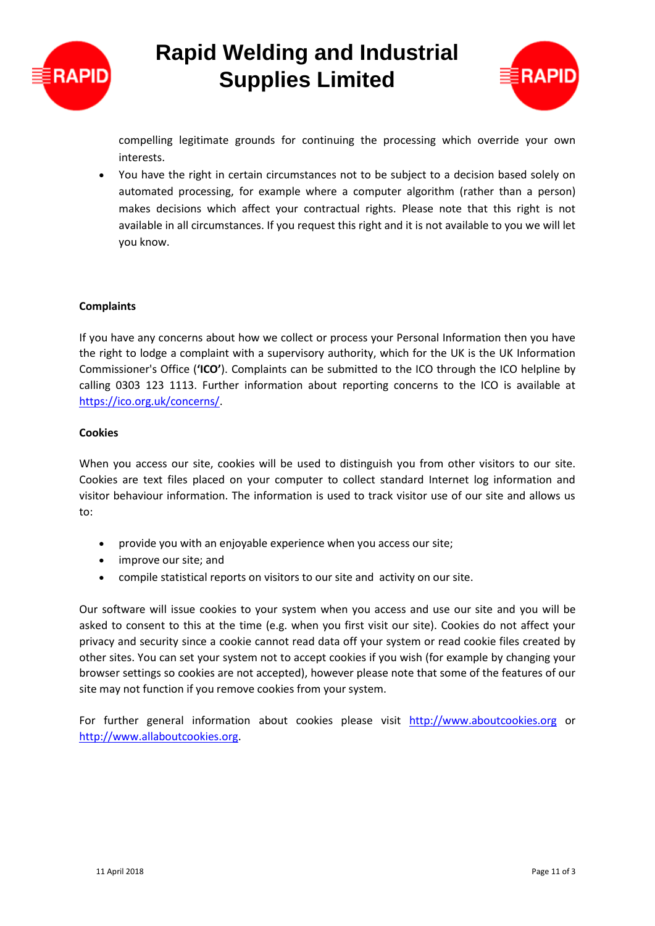



compelling legitimate grounds for continuing the processing which override your own interests.

• You have the right in certain circumstances not to be subject to a decision based solely on automated processing, for example where a computer algorithm (rather than a person) makes decisions which affect your contractual rights. Please note that this right is not available in all circumstances. If you request this right and it is not available to you we will let you know.

## **Complaints**

If you have any concerns about how we collect or process your Personal Information then you have the right to lodge a complaint with a supervisory authority, which for the UK is the UK Information Commissioner's Office (**'ICO'**). Complaints can be submitted to the ICO through the ICO helpline by calling 0303 123 1113. Further information about reporting concerns to the ICO is available at [https://ico.org.uk/concerns/.](https://ico.org.uk/concerns/)

## **Cookies**

When you access our site, cookies will be used to distinguish you from other visitors to our site. Cookies are text files placed on your computer to collect standard Internet log information and visitor behaviour information. The information is used to track visitor use of our site and allows us to:

- provide you with an enjoyable experience when you access our site;
- improve our site; and
- compile statistical reports on visitors to our site and activity on our site.

Our software will issue cookies to your system when you access and use our site and you will be asked to consent to this at the time (e.g. when you first visit our site). Cookies do not affect your privacy and security since a cookie cannot read data off your system or read cookie files created by other sites. You can set your system not to accept cookies if you wish (for example by changing your browser settings so cookies are not accepted), however please note that some of the features of our site may not function if you remove cookies from your system.

For further general information about cookies please visit [http://www.aboutcookies.org](http://www.aboutcookies.org/) or [http://www.allaboutcookies.org.](http://www.allaboutcookies.org/)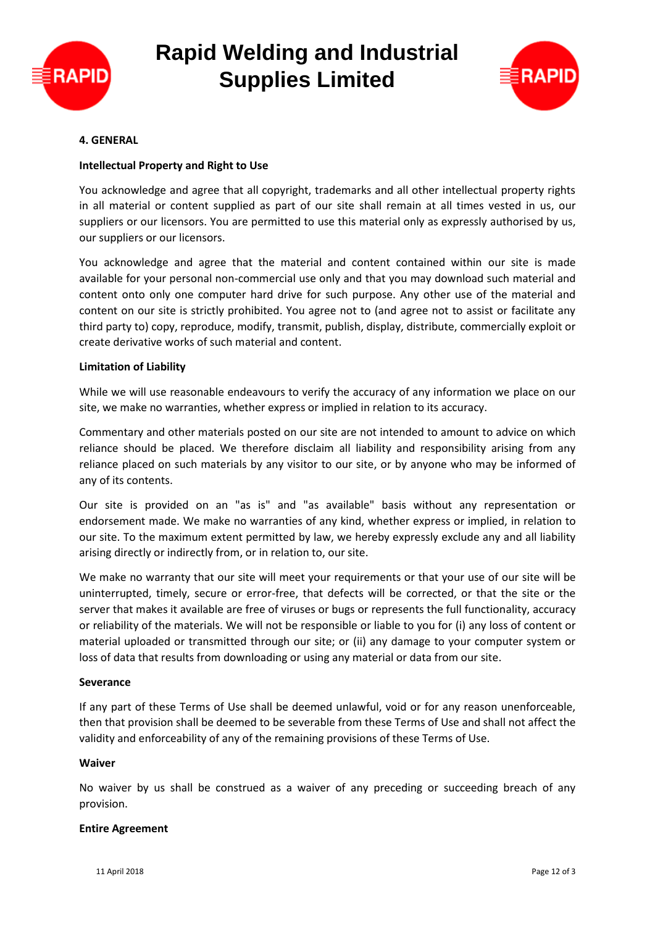



## **4. GENERAL**

## **Intellectual Property and Right to Use**

You acknowledge and agree that all copyright, trademarks and all other intellectual property rights in all material or content supplied as part of our site shall remain at all times vested in us, our suppliers or our licensors. You are permitted to use this material only as expressly authorised by us, our suppliers or our licensors.

You acknowledge and agree that the material and content contained within our site is made available for your personal non-commercial use only and that you may download such material and content onto only one computer hard drive for such purpose. Any other use of the material and content on our site is strictly prohibited. You agree not to (and agree not to assist or facilitate any third party to) copy, reproduce, modify, transmit, publish, display, distribute, commercially exploit or create derivative works of such material and content.

## **Limitation of Liability**

While we will use reasonable endeavours to verify the accuracy of any information we place on our site, we make no warranties, whether express or implied in relation to its accuracy.

Commentary and other materials posted on our site are not intended to amount to advice on which reliance should be placed. We therefore disclaim all liability and responsibility arising from any reliance placed on such materials by any visitor to our site, or by anyone who may be informed of any of its contents.

Our site is provided on an "as is" and "as available" basis without any representation or endorsement made. We make no warranties of any kind, whether express or implied, in relation to our site. To the maximum extent permitted by law, we hereby expressly exclude any and all liability arising directly or indirectly from, or in relation to, our site.

We make no warranty that our site will meet your requirements or that your use of our site will be uninterrupted, timely, secure or error-free, that defects will be corrected, or that the site or the server that makes it available are free of viruses or bugs or represents the full functionality, accuracy or reliability of the materials. We will not be responsible or liable to you for (i) any loss of content or material uploaded or transmitted through our site; or (ii) any damage to your computer system or loss of data that results from downloading or using any material or data from our site.

#### **Severance**

If any part of these Terms of Use shall be deemed unlawful, void or for any reason unenforceable, then that provision shall be deemed to be severable from these Terms of Use and shall not affect the validity and enforceability of any of the remaining provisions of these Terms of Use.

#### **Waiver**

No waiver by us shall be construed as a waiver of any preceding or succeeding breach of any provision.

#### **Entire Agreement**